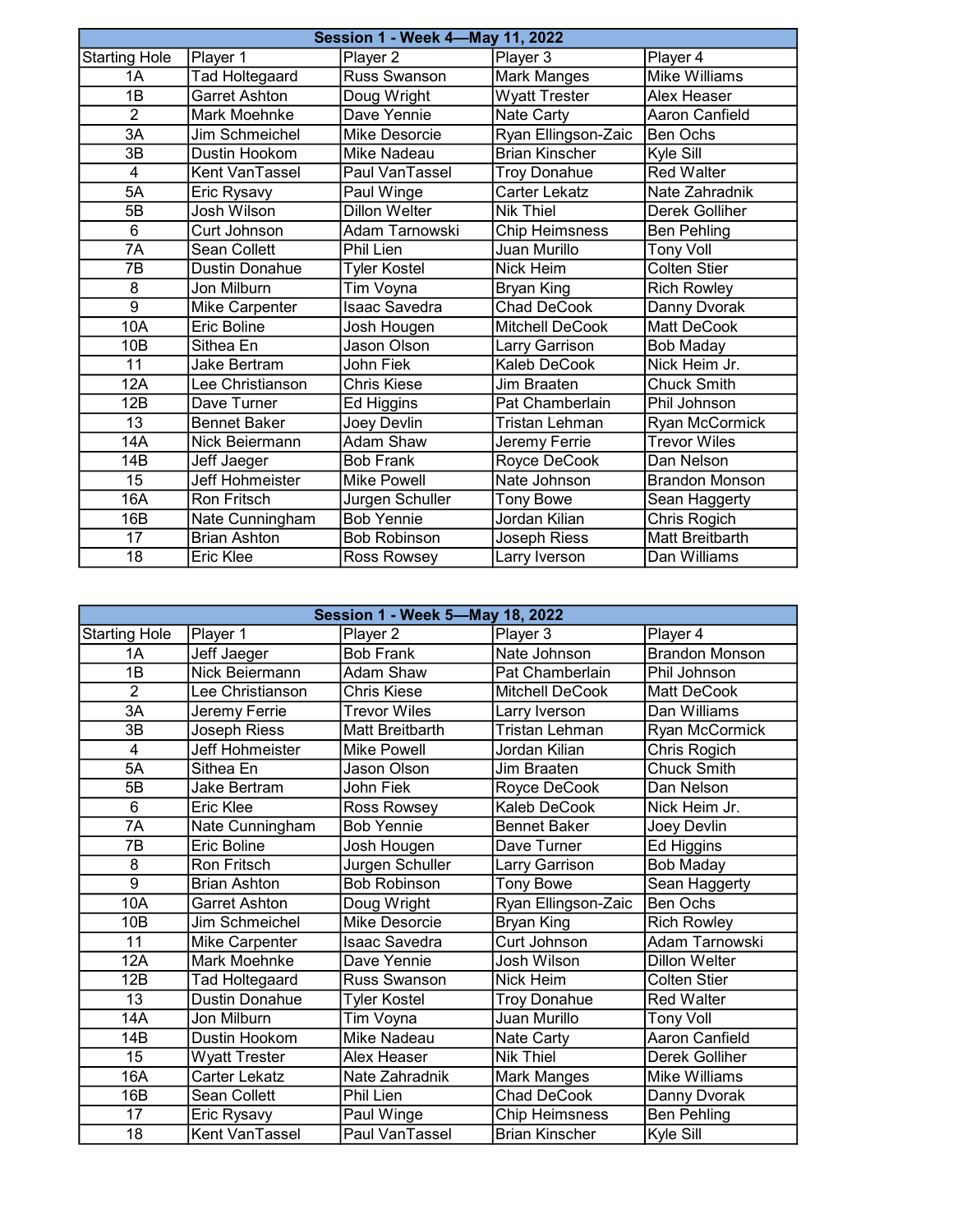|                      | <b>Session 1 - Week 4-May 11, 2022</b> |                      |                       |                       |  |
|----------------------|----------------------------------------|----------------------|-----------------------|-----------------------|--|
| <b>Starting Hole</b> | Player 1                               | Player 2             | Player 3              | Player 4              |  |
| 1A                   | <b>Tad Holtegaard</b>                  | Russ Swanson         | <b>Mark Manges</b>    | <b>Mike Williams</b>  |  |
| $\overline{1B}$      | <b>Garret Ashton</b>                   | Doug Wright          | <b>Wyatt Trester</b>  | Alex Heaser           |  |
| $\overline{2}$       | Mark Moehnke                           | Dave Yennie          | Nate Carty            | Aaron Canfield        |  |
| 3A                   | Jim Schmeichel                         | Mike Desorcie        | Ryan Ellingson-Zaic   | Ben Ochs              |  |
| 3B                   | Dustin Hookom                          | Mike Nadeau          | <b>Brian Kinscher</b> | Kyle Sill             |  |
| 4                    | Kent VanTassel                         | Paul VanTassel       | <b>Troy Donahue</b>   | <b>Red Walter</b>     |  |
| 5A                   | Eric Rysavy                            | Paul Winge           | Carter Lekatz         | Nate Zahradnik        |  |
| 5B                   | Josh Wilson                            | <b>Dillon Welter</b> | <b>Nik Thiel</b>      | Derek Golliher        |  |
| 6                    | Curt Johnson                           | Adam Tarnowski       | <b>Chip Heimsness</b> | <b>Ben Pehling</b>    |  |
| 7A                   | Sean Collett                           | <b>Phil Lien</b>     | <b>Juan Murillo</b>   | <b>Tony Voll</b>      |  |
| 7B                   | <b>Dustin Donahue</b>                  | <b>Tyler Kostel</b>  | Nick Heim             | <b>Colten Stier</b>   |  |
| 8                    | Jon Milburn                            | Tim Voyna            | Bryan King            | <b>Rich Rowley</b>    |  |
| $\overline{9}$       | Mike Carpenter                         | <b>Isaac Savedra</b> | <b>Chad DeCook</b>    | Danny Dvorak          |  |
| 10A                  | <b>Eric Boline</b>                     | Josh Hougen          | Mitchell DeCook       | <b>Matt DeCook</b>    |  |
| 10B                  | Sithea En                              | Jason Olson          | Larry Garrison        | <b>Bob Maday</b>      |  |
| 11                   | Jake Bertram                           | <b>John Fiek</b>     | Kaleb DeCook          | Nick Heim Jr.         |  |
| 12A                  | Lee Christianson                       | <b>Chris Kiese</b>   | Jim Braaten           | Chuck Smith           |  |
| 12B                  | Dave Turner                            | Ed Higgins           | Pat Chamberlain       | Phil Johnson          |  |
| $\overline{13}$      | <b>Bennet Baker</b>                    | Joey Devlin          | Tristan Lehman        | Ryan McCormick        |  |
| 14A                  | Nick Beiermann                         | Adam Shaw            | Jeremy Ferrie         | <b>Trevor Wiles</b>   |  |
| 14B                  | Jeff Jaeger                            | <b>Bob Frank</b>     | Royce DeCook          | Dan Nelson            |  |
| 15                   | Jeff Hohmeister                        | <b>Mike Powell</b>   | Nate Johnson          | <b>Brandon Monson</b> |  |
| 16A                  | <b>Ron Fritsch</b>                     | Jurgen Schuller      | <b>Tony Bowe</b>      | Sean Haggerty         |  |
| 16B                  | Nate Cunningham                        | <b>Bob Yennie</b>    | Jordan Kilian         | Chris Rogich          |  |
| 17                   | <b>Brian Ashton</b>                    | <b>Bob Robinson</b>  | Joseph Riess          | Matt Breitbarth       |  |
| 18                   | Eric Klee                              | Ross Rowsey          | Larry Iverson         | Dan Williams          |  |

|                      | Session 1 - Week 5-May 18, 2022 |                     |                        |                       |  |
|----------------------|---------------------------------|---------------------|------------------------|-----------------------|--|
| <b>Starting Hole</b> | Player 1                        | Player 2            | Player 3               | Player 4              |  |
| 1A                   | Jeff Jaeger                     | <b>Bob Frank</b>    | Nate Johnson           | <b>Brandon Monson</b> |  |
| 1B                   | Nick Beiermann                  | Adam Shaw           | Pat Chamberlain        | Phil Johnson          |  |
| $\overline{2}$       | Lee Christianson                | <b>Chris Kiese</b>  | <b>Mitchell DeCook</b> | Matt DeCook           |  |
| 3A                   | Jeremy Ferrie                   | <b>Trevor Wiles</b> | Larry Iverson          | Dan Williams          |  |
| 3B                   | Joseph Riess                    | Matt Breitbarth     | Tristan Lehman         | Ryan McCormick        |  |
| $\overline{4}$       | Jeff Hohmeister                 | <b>Mike Powell</b>  | Jordan Kilian          | Chris Rogich          |  |
| 5A                   | Sithea En                       | Jason Olson         | Jim Braaten            | <b>Chuck Smith</b>    |  |
| 5B                   | <b>Jake Bertram</b>             | John Fiek           | Royce DeCook           | Dan Nelson            |  |
| 6                    | Eric Klee                       | Ross Rowsey         | Kaleb DeCook           | Nick Heim Jr.         |  |
| 7A                   | Nate Cunningham                 | <b>Bob Yennie</b>   | <b>Bennet Baker</b>    | Joey Devlin           |  |
| $\overline{7B}$      | <b>Eric Boline</b>              | Josh Hougen         | Dave Turner            | Ed Higgins            |  |
| 8                    | <b>Ron Fritsch</b>              | Jurgen Schuller     | Larry Garrison         | <b>Bob Maday</b>      |  |
| $\overline{9}$       | <b>Brian Ashton</b>             | <b>Bob Robinson</b> | <b>Tony Bowe</b>       | Sean Haggerty         |  |
| 10A                  | <b>Garret Ashton</b>            | Doug Wright         | Ryan Ellingson-Zaic    | <b>Ben Ochs</b>       |  |
| 10 <sub>B</sub>      | Jim Schmeichel                  | Mike Desorcie       | Bryan King             | <b>Rich Rowley</b>    |  |
| 11                   | Mike Carpenter                  | Isaac Savedra       | Curt Johnson           | Adam Tarnowski        |  |
| 12A                  | Mark Moehnke                    | Dave Yennie         | Josh Wilson            | <b>Dillon Welter</b>  |  |
| 12B                  | <b>Tad Holtegaard</b>           | <b>Russ Swanson</b> | Nick Heim              | <b>Colten Stier</b>   |  |
| $\overline{13}$      | <b>Dustin Donahue</b>           | <b>Tyler Kostel</b> | <b>Troy Donahue</b>    | <b>Red Walter</b>     |  |
| 14A                  | Jon Milburn                     | Tim Voyna           | Juan Murillo           | <b>Tony Voll</b>      |  |
| 14B                  | Dustin Hookom                   | Mike Nadeau         | <b>Nate Carty</b>      | <b>Aaron Canfield</b> |  |
| $\overline{15}$      | <b>Wyatt Trester</b>            | Alex Heaser         | Nik Thiel              | Derek Golliher        |  |
| 16A                  | <b>Carter Lekatz</b>            | Nate Zahradnik      | Mark Manges            | <b>Mike Williams</b>  |  |
| 16B                  | Sean Collett                    | Phil Lien           | <b>Chad DeCook</b>     | Danny Dvorak          |  |
| 17                   | Eric Rysavy                     | Paul Winge          | <b>Chip Heimsness</b>  | <b>Ben Pehling</b>    |  |
| 18                   | Kent VanTassel                  | Paul VanTassel      | <b>Brian Kinscher</b>  | Kyle Sill             |  |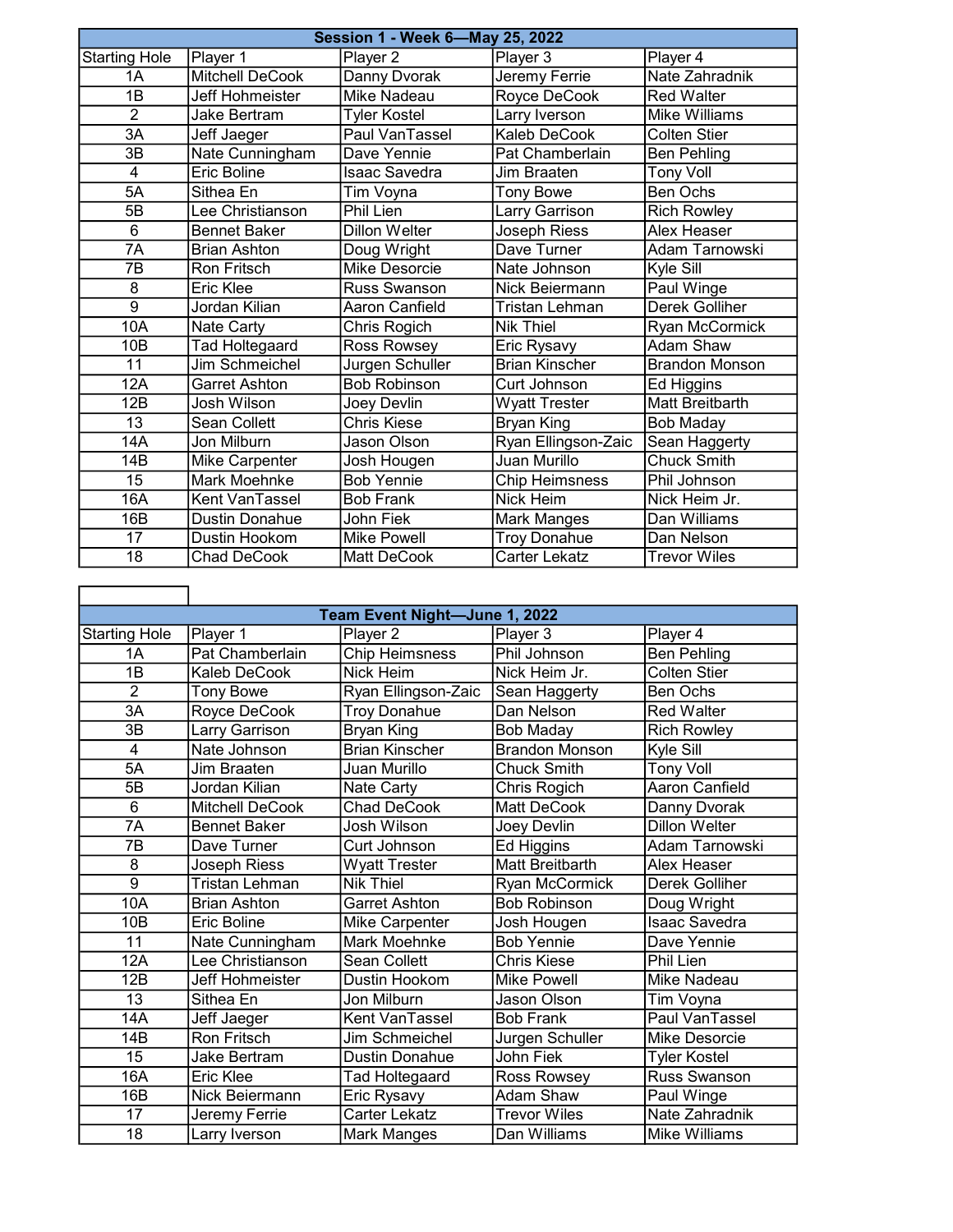|                      | <b>Session 1 - Week 6-May 25, 2022</b> |                      |                       |                       |  |
|----------------------|----------------------------------------|----------------------|-----------------------|-----------------------|--|
| <b>Starting Hole</b> | Player 1                               | Player 2             | Player 3              | Player 4              |  |
| 1A                   | <b>Mitchell DeCook</b>                 | Danny Dvorak         | Jeremy Ferrie         | Nate Zahradnik        |  |
| 1B                   | Jeff Hohmeister                        | <b>Mike Nadeau</b>   | Royce DeCook          | <b>Red Walter</b>     |  |
| $\overline{2}$       | Jake Bertram                           | <b>Tyler Kostel</b>  | Larry Iverson         | Mike Williams         |  |
| 3A                   | Jeff Jaeger                            | Paul VanTassel       | <b>Kaleb DeCook</b>   | <b>Colten Stier</b>   |  |
| 3B                   | Nate Cunningham                        | Dave Yennie          | Pat Chamberlain       | <b>Ben Pehling</b>    |  |
| 4                    | Eric Boline                            | Isaac Savedra        | Jim Braaten           | <b>Tony Voll</b>      |  |
| 5A                   | Sithea En                              | Tim Voyna            | <b>Tony Bowe</b>      | Ben Ochs              |  |
| 5B                   | Lee Christianson                       | Phil Lien            | Larry Garrison        | <b>Rich Rowley</b>    |  |
| $6\overline{6}$      | <b>Bennet Baker</b>                    | <b>Dillon Welter</b> | Joseph Riess          | Alex Heaser           |  |
| $\overline{7A}$      | <b>Brian Ashton</b>                    | Doug Wright          | Dave Turner           | Adam Tarnowski        |  |
| 7B                   | Ron Fritsch                            | Mike Desorcie        | Nate Johnson          | Kyle Sill             |  |
| 8                    | Eric Klee                              | Russ Swanson         | Nick Beiermann        | Paul Winge            |  |
| $\overline{9}$       | Jordan Kilian                          | Aaron Canfield       | Tristan Lehman        | Derek Golliher        |  |
| 10A                  | Nate Carty                             | Chris Rogich         | <b>Nik Thiel</b>      | Ryan McCormick        |  |
| 10B                  | Tad Holtegaard                         | Ross Rowsey          | Eric Rysavy           | Adam Shaw             |  |
| 11                   | Jim Schmeichel                         | Jurgen Schuller      | <b>Brian Kinscher</b> | <b>Brandon Monson</b> |  |
| 12A                  | Garret Ashton                          | <b>Bob Robinson</b>  | Curt Johnson          | Ed Higgins            |  |
| 12B                  | Josh Wilson                            | Joey Devlin          | Wyatt Trester         | Matt Breitbarth       |  |
| $\overline{13}$      | <b>Sean Collett</b>                    | <b>Chris Kiese</b>   | Bryan King            | <b>Bob Maday</b>      |  |
| 14A                  | Jon Milburn                            | Jason Olson          | Ryan Ellingson-Zaic   | Sean Haggerty         |  |
| 14B                  | Mike Carpenter                         | Josh Hougen          | Juan Murillo          | Chuck Smith           |  |
| 15                   | Mark Moehnke                           | <b>Bob Yennie</b>    | <b>Chip Heimsness</b> | Phil Johnson          |  |
| 16A                  | Kent VanTassel                         | <b>Bob Frank</b>     | Nick Heim             | Nick Heim Jr.         |  |
| 16B                  | <b>Dustin Donahue</b>                  | John Fiek            | Mark Manges           | Dan Williams          |  |
| 17                   | Dustin Hookom                          | <b>Mike Powell</b>   | <b>Troy Donahue</b>   | Dan Nelson            |  |
| $\overline{18}$      | <b>Chad DeCook</b>                     | Matt DeCook          | Carter Lekatz         | <b>Trevor Wiles</b>   |  |

| Team Event Night-June 1, 2022 |                        |                       |                        |                       |
|-------------------------------|------------------------|-----------------------|------------------------|-----------------------|
| <b>Starting Hole</b>          | Player 1               | Player 2              | Player 3               | Player 4              |
| 1A                            | Pat Chamberlain        | <b>Chip Heimsness</b> | Phil Johnson           | <b>Ben Pehling</b>    |
| 1B                            | <b>Kaleb DeCook</b>    | <b>Nick Heim</b>      | Nick Heim Jr.          | Colten Stier          |
| $\overline{2}$                | <b>Tony Bowe</b>       | Ryan Ellingson-Zaic   | Sean Haggerty          | <b>Ben Ochs</b>       |
| 3A                            | Royce DeCook           | <b>Troy Donahue</b>   | Dan Nelson             | <b>Red Walter</b>     |
| 3B                            | Larry Garrison         | Bryan King            | <b>Bob Maday</b>       | <b>Rich Rowley</b>    |
| $\overline{\mathbf{4}}$       | Nate Johnson           | <b>Brian Kinscher</b> | <b>Brandon Monson</b>  | Kyle Sill             |
| $5\overline{A}$               | Jim Braaten            | Juan Murillo          | <b>Chuck Smith</b>     | <b>Tony Voll</b>      |
| 5B                            | Jordan Kilian          | <b>Nate Carty</b>     | Chris Rogich           | <b>Aaron Canfield</b> |
| 6                             | <b>Mitchell DeCook</b> | <b>Chad DeCook</b>    | <b>Matt DeCook</b>     | Danny Dvorak          |
| 7A                            | <b>Bennet Baker</b>    | Josh Wilson           | Joey Devlin            | <b>Dillon Welter</b>  |
| $\overline{7B}$               | Dave Turner            | Curt Johnson          | Ed Higgins             | Adam Tarnowski        |
| 8                             | Joseph Riess           | <b>Wyatt Trester</b>  | <b>Matt Breitbarth</b> | Alex Heaser           |
| $\overline{9}$                | <b>Tristan Lehman</b>  | <b>Nik Thiel</b>      | Ryan McCormick         | Derek Golliher        |
| 10A                           | <b>Brian Ashton</b>    | <b>Garret Ashton</b>  | <b>Bob Robinson</b>    | Doug Wright           |
| 10 <sub>B</sub>               | Eric Boline            | Mike Carpenter        | Josh Hougen            | <b>Isaac Savedra</b>  |
| 11                            | Nate Cunningham        | Mark Moehnke          | <b>Bob Yennie</b>      | Dave Yennie           |
| 12A                           | Lee Christianson       | Sean Collett          | <b>Chris Kiese</b>     | Phil Lien             |
| 12B                           | Jeff Hohmeister        | Dustin Hookom         | <b>Mike Powell</b>     | Mike Nadeau           |
| 13                            | Sithea En              | Jon Milburn           | Jason Olson            | Tim Voyna             |
| 14A                           | Jeff Jaeger            | Kent VanTassel        | <b>Bob Frank</b>       | Paul VanTassel        |
| 14B                           | Ron Fritsch            | Jim Schmeichel        | Jurgen Schuller        | Mike Desorcie         |
| 15                            | Jake Bertram           | <b>Dustin Donahue</b> | John Fiek              | <b>Tyler Kostel</b>   |
| 16A                           | Eric Klee              | <b>Tad Holtegaard</b> | Ross Rowsey            | Russ Swanson          |
| 16B                           | Nick Beiermann         | Eric Rysavy           | Adam Shaw              | Paul Winge            |
| 17                            | Jeremy Ferrie          | Carter Lekatz         | <b>Trevor Wiles</b>    | Nate Zahradnik        |
| 18                            | Larry Iverson          | <b>Mark Manges</b>    | Dan Williams           | Mike Williams         |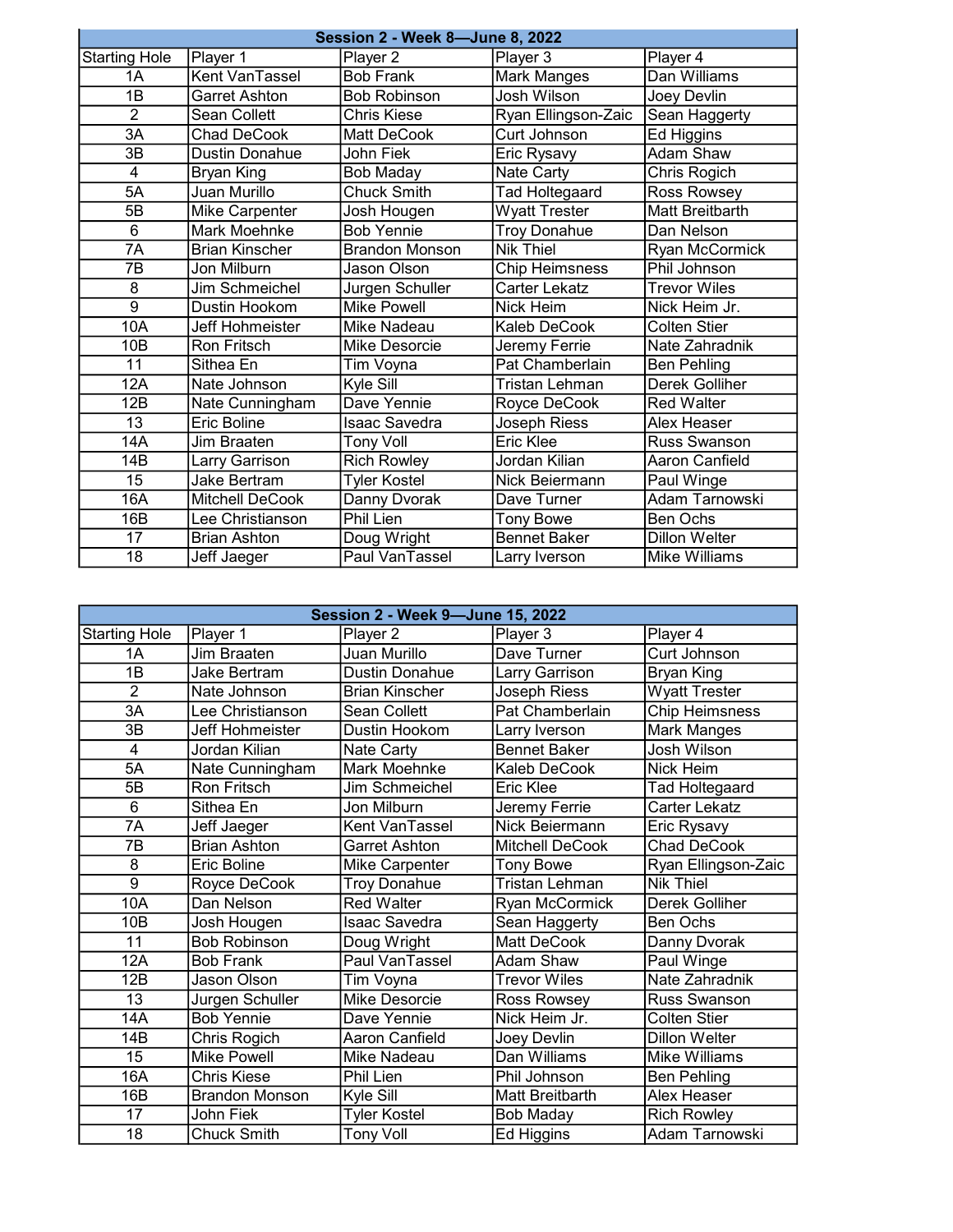|                      | <b>Session 2 - Week 8-June 8, 2022</b> |                       |                       |                        |  |
|----------------------|----------------------------------------|-----------------------|-----------------------|------------------------|--|
| <b>Starting Hole</b> | Player 1                               | Player 2              | Player 3              | Player 4               |  |
| 1A                   | Kent VanTassel                         | <b>Bob Frank</b>      | <b>Mark Manges</b>    | Dan Williams           |  |
| 1B                   | <b>Garret Ashton</b>                   | <b>Bob Robinson</b>   | Josh Wilson           | Joey Devlin            |  |
| $\overline{2}$       | Sean Collett                           | Chris Kiese           | Ryan Ellingson-Zaic   | Sean Haggerty          |  |
| 3A                   | <b>Chad DeCook</b>                     | <b>Matt DeCook</b>    | Curt Johnson          | <b>Ed Higgins</b>      |  |
| 3B                   | <b>Dustin Donahue</b>                  | John Fiek             | Eric Rysavy           | <b>Adam Shaw</b>       |  |
| 4                    | <b>Bryan King</b>                      | <b>Bob Maday</b>      | Nate Carty            | Chris Rogich           |  |
| 5A                   | Juan Murillo                           | <b>Chuck Smith</b>    | <b>Tad Holtegaard</b> | Ross Rowsey            |  |
| 5B                   | Mike Carpenter                         | Josh Hougen           | <b>Wyatt Trester</b>  | <b>Matt Breitbarth</b> |  |
| $6\overline{6}$      | Mark Moehnke                           | <b>Bob Yennie</b>     | <b>Troy Donahue</b>   | Dan Nelson             |  |
| 7A                   | <b>Brian Kinscher</b>                  | <b>Brandon Monson</b> | <b>Nik Thiel</b>      | Ryan McCormick         |  |
| $\overline{7B}$      | Jon Milburn                            | Jason Olson           | <b>Chip Heimsness</b> | Phil Johnson           |  |
| 8                    | Jim Schmeichel                         | Jurgen Schuller       | Carter Lekatz         | <b>Trevor Wiles</b>    |  |
| $\overline{9}$       | Dustin Hookom                          | <b>Mike Powell</b>    | Nick Heim             | Nick Heim Jr.          |  |
| 10A                  | Jeff Hohmeister                        | Mike Nadeau           | Kaleb DeCook          | <b>Colten Stier</b>    |  |
| 10B                  | Ron Fritsch                            | Mike Desorcie         | Jeremy Ferrie         | Nate Zahradnik         |  |
| 11                   | Sithea En                              | Tim Voyna             | Pat Chamberlain       | <b>Ben Pehling</b>     |  |
| 12A                  | Nate Johnson                           | Kyle Sill             | Tristan Lehman        | Derek Golliher         |  |
| 12B                  | Nate Cunningham                        | Dave Yennie           | Royce DeCook          | <b>Red Walter</b>      |  |
| 13                   | Eric Boline                            | <b>Isaac Savedra</b>  | Joseph Riess          | Alex Heaser            |  |
| 14A                  | Jim Braaten                            | <b>Tony Voll</b>      | Eric Klee             | Russ Swanson           |  |
| 14B                  | Larry Garrison                         | <b>Rich Rowley</b>    | Jordan Kilian         | Aaron Canfield         |  |
| 15                   | Jake Bertram                           | <b>Tyler Kostel</b>   | Nick Beiermann        | Paul Winge             |  |
| 16A                  | <b>Mitchell DeCook</b>                 | Danny Dvorak          | Dave Turner           | Adam Tarnowski         |  |
| 16B                  | Lee Christianson                       | Phil Lien             | <b>Tony Bowe</b>      | <b>Ben Ochs</b>        |  |
| 17                   | <b>Brian Ashton</b>                    | Doug Wright           | <b>Bennet Baker</b>   | <b>Dillon Welter</b>   |  |
| $\overline{18}$      | Jeff Jaeger                            | Paul VanTassel        | Larry Iverson         | Mike Williams          |  |

|                      | <b>Session 2 - Week 9-June 15, 2022</b> |                       |                       |                       |  |
|----------------------|-----------------------------------------|-----------------------|-----------------------|-----------------------|--|
| <b>Starting Hole</b> | Player 1                                | Player 2              | Player 3              | Player 4              |  |
| 1A                   | Jim Braaten                             | Juan Murillo          | Dave Turner           | Curt Johnson          |  |
| 1B                   | Jake Bertram                            | <b>Dustin Donahue</b> | Larry Garrison        | <b>Bryan King</b>     |  |
| $\overline{2}$       | Nate Johnson                            | <b>Brian Kinscher</b> | Joseph Riess          | <b>Wyatt Trester</b>  |  |
| 3A                   | Lee Christianson                        | Sean Collett          | Pat Chamberlain       | <b>Chip Heimsness</b> |  |
| 3B                   | Jeff Hohmeister                         | Dustin Hookom         | Larry Iverson         | <b>Mark Manges</b>    |  |
| $\overline{4}$       | Jordan Kilian                           | Nate Carty            | <b>Bennet Baker</b>   | Josh Wilson           |  |
| 5A                   | Nate Cunningham                         | Mark Moehnke          | Kaleb DeCook          | Nick Heim             |  |
| 5B                   | <b>Ron Fritsch</b>                      | Jim Schmeichel        | Eric Klee             | <b>Tad Holtegaard</b> |  |
| 6                    | Sithea En                               | Jon Milburn           | Jeremy Ferrie         | Carter Lekatz         |  |
| $\overline{7A}$      | Jeff Jaeger                             | Kent VanTassel        | Nick Beiermann        | Eric Rysavy           |  |
| $\overline{7B}$      | <b>Brian Ashton</b>                     | Garret Ashton         | Mitchell DeCook       | Chad DeCook           |  |
| 8                    | Eric Boline                             | Mike Carpenter        | <b>Tony Bowe</b>      | Ryan Ellingson-Zaic   |  |
| $\overline{9}$       | Royce DeCook                            | <b>Troy Donahue</b>   | <b>Tristan Lehman</b> | <b>Nik Thiel</b>      |  |
| 10A                  | Dan Nelson                              | <b>Red Walter</b>     | Ryan McCormick        | Derek Golliher        |  |
| 10 <sub>B</sub>      | Josh Hougen                             | <b>Isaac Savedra</b>  | Sean Haggerty         | Ben Ochs              |  |
| 11                   | <b>Bob Robinson</b>                     | Doug Wright           | <b>Matt DeCook</b>    | Danny Dvorak          |  |
| 12A                  | <b>Bob Frank</b>                        | Paul VanTassel        | Adam Shaw             | Paul Winge            |  |
| 12B                  | Jason Olson                             | Tim Voyna             | <b>Trevor Wiles</b>   | Nate Zahradnik        |  |
| 13                   | Jurgen Schuller                         | Mike Desorcie         | Ross Rowsey           | Russ Swanson          |  |
| 14A                  | <b>Bob Yennie</b>                       | Dave Yennie           | Nick Heim Jr.         | <b>Colten Stier</b>   |  |
| 14B                  | Chris Rogich                            | Aaron Canfield        | Joey Devlin           | <b>Dillon Welter</b>  |  |
| $\overline{15}$      | <b>Mike Powell</b>                      | Mike Nadeau           | Dan Williams          | <b>Mike Williams</b>  |  |
| 16A                  | <b>Chris Kiese</b>                      | Phil Lien             | Phil Johnson          | <b>Ben Pehling</b>    |  |
| 16B                  | <b>Brandon Monson</b>                   | Kyle Sill             | Matt Breitbarth       | Alex Heaser           |  |
| 17                   | <b>John Fiek</b>                        | <b>Tyler Kostel</b>   | <b>Bob Maday</b>      | <b>Rich Rowley</b>    |  |
| 18                   | Chuck Smith                             | <b>Tony Voll</b>      | Ed Higgins            | Adam Tarnowski        |  |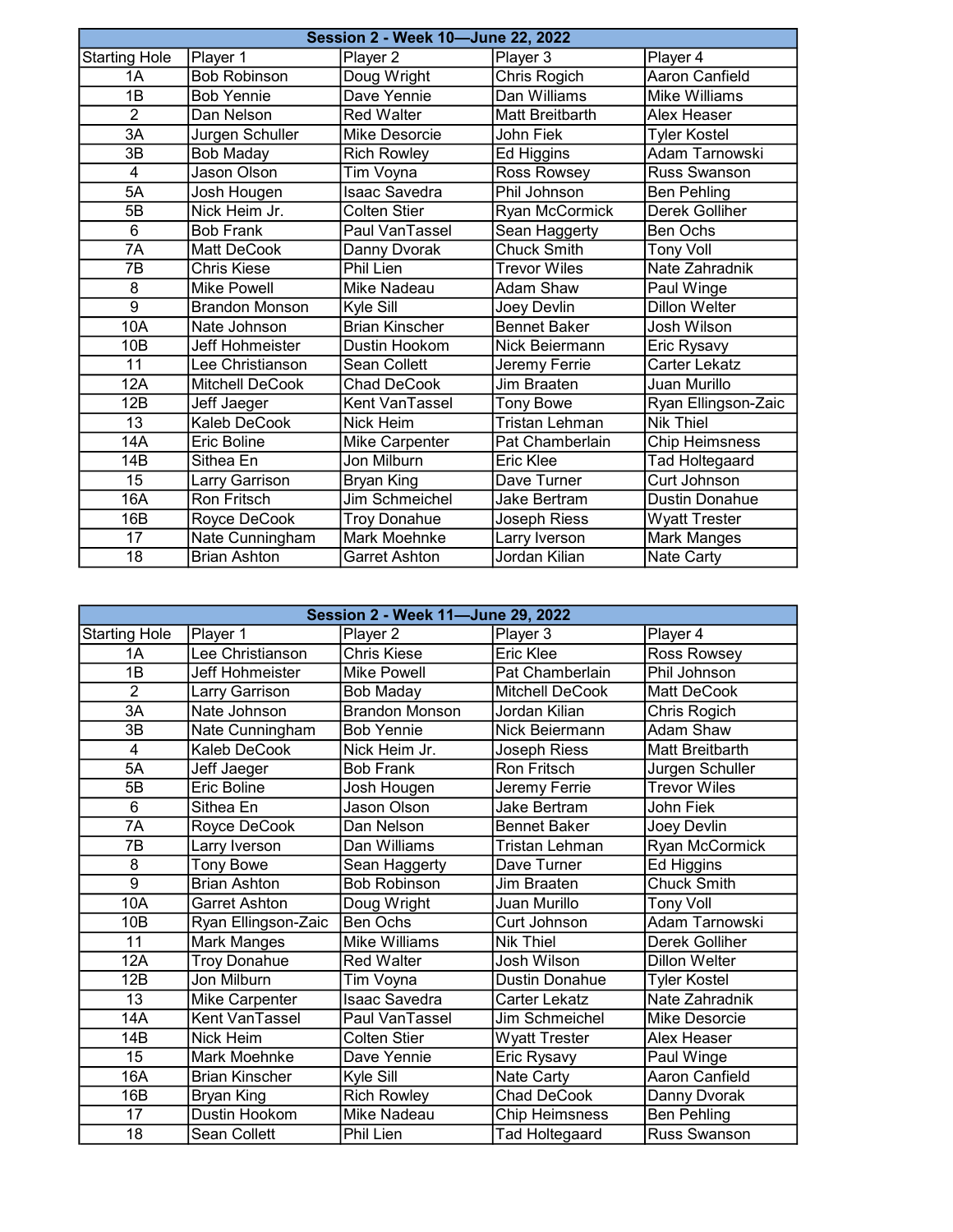|                      | Session 2 - Week 10-June 22, 2022 |                       |                        |                       |  |
|----------------------|-----------------------------------|-----------------------|------------------------|-----------------------|--|
| <b>Starting Hole</b> | Player 1                          | Player 2              | Player 3               | Player 4              |  |
| 1A                   | <b>Bob Robinson</b>               | Doug Wright           | <b>Chris Rogich</b>    | <b>Aaron Canfield</b> |  |
| 1B                   | <b>Bob Yennie</b>                 | Dave Yennie           | Dan Williams           | Mike Williams         |  |
| $\overline{2}$       | Dan Nelson                        | <b>Red Walter</b>     | <b>Matt Breitbarth</b> | <b>Alex Heaser</b>    |  |
| 3A                   | Jurgen Schuller                   | Mike Desorcie         | <b>John Fiek</b>       | <b>Tyler Kostel</b>   |  |
| 3B                   | Bob Maday                         | <b>Rich Rowley</b>    | Ed Higgins             | Adam Tarnowski        |  |
| 4                    | <b>Jason Olson</b>                | Tim Voyna             | Ross Rowsey            | <b>Russ Swanson</b>   |  |
| 5A                   | Josh Hougen                       | <b>Isaac Savedra</b>  | Phil Johnson           | <b>Ben Pehling</b>    |  |
| 5B                   | Nick Heim Jr.                     | <b>Colten Stier</b>   | Ryan McCormick         | Derek Golliher        |  |
| 6                    | <b>Bob Frank</b>                  | Paul VanTassel        | Sean Haggerty          | Ben Ochs              |  |
| $\overline{7A}$      | <b>Matt DeCook</b>                | Danny Dvorak          | <b>Chuck Smith</b>     | <b>Tony Voll</b>      |  |
| 7B                   | <b>Chris Kiese</b>                | Phil Lien             | <b>Trevor Wiles</b>    | Nate Zahradnik        |  |
| 8                    | <b>Mike Powell</b>                | Mike Nadeau           | Adam Shaw              | Paul Winge            |  |
| $\overline{9}$       | <b>Brandon Monson</b>             | Kyle Sill             | Joey Devlin            | <b>Dillon Welter</b>  |  |
| 10A                  | Nate Johnson                      | <b>Brian Kinscher</b> | <b>Bennet Baker</b>    | Josh Wilson           |  |
| 10 <sub>B</sub>      | Jeff Hohmeister                   | Dustin Hookom         | Nick Beiermann         | Eric Rysavy           |  |
| 11                   | Lee Christianson                  | Sean Collett          | Jeremy Ferrie          | Carter Lekatz         |  |
| 12A                  | <b>Mitchell DeCook</b>            | <b>Chad DeCook</b>    | Jim Braaten            | Juan Murillo          |  |
| 12B                  | Jeff Jaeger                       | Kent VanTassel        | <b>Tony Bowe</b>       | Ryan Ellingson-Zaic   |  |
| 13                   | Kaleb DeCook                      | Nick Heim             | <b>Tristan Lehman</b>  | <b>Nik Thiel</b>      |  |
| 14A                  | Eric Boline                       | Mike Carpenter        | Pat Chamberlain        | <b>Chip Heimsness</b> |  |
| 14B                  | Sithea En                         | Jon Milburn           | Eric Klee              | <b>Tad Holtegaard</b> |  |
| 15                   | Larry Garrison                    | Bryan King            | Dave Turner            | Curt Johnson          |  |
| 16A                  | <b>Ron Fritsch</b>                | Jim Schmeichel        | Jake Bertram           | <b>Dustin Donahue</b> |  |
| 16B                  | Royce DeCook                      | <b>Troy Donahue</b>   | Joseph Riess           | <b>Wyatt Trester</b>  |  |
| 17                   | Nate Cunningham                   | Mark Moehnke          | Larry Iverson          | Mark Manges           |  |
| $\overline{18}$      | <b>Brian Ashton</b>               | Garret Ashton         | Jordan Kilian          | Nate Carty            |  |

|                      | Session 2 - Week 11-June 29, 2022 |                       |                       |                      |
|----------------------|-----------------------------------|-----------------------|-----------------------|----------------------|
| <b>Starting Hole</b> | Player 1                          | Player 2              | Player 3              | Player 4             |
| 1A                   | Lee Christianson                  | <b>Chris Kiese</b>    | <b>Eric Klee</b>      | Ross Rowsey          |
| 1B                   | Jeff Hohmeister                   | <b>Mike Powell</b>    | Pat Chamberlain       | Phil Johnson         |
| $\overline{2}$       | Larry Garrison                    | <b>Bob Maday</b>      | Mitchell DeCook       | Matt DeCook          |
| $\overline{3A}$      | Nate Johnson                      | <b>Brandon Monson</b> | Jordan Kilian         | Chris Rogich         |
| 3B                   | Nate Cunningham                   | <b>Bob Yennie</b>     | Nick Beiermann        | Adam Shaw            |
| $\overline{4}$       | Kaleb DeCook                      | Nick Heim Jr.         | Joseph Riess          | Matt Breitbarth      |
| 5A                   | Jeff Jaeger                       | <b>Bob Frank</b>      | Ron Fritsch           | Jurgen Schuller      |
| 5B                   | Eric Boline                       | Josh Hougen           | Jeremy Ferrie         | <b>Trevor Wiles</b>  |
| 6                    | Sithea En                         | Jason Olson           | <b>Jake Bertram</b>   | John Fiek            |
| 7A                   | Royce DeCook                      | Dan Nelson            | <b>Bennet Baker</b>   | Joey Devlin          |
| 7B                   | Larry Iverson                     | Dan Williams          | Tristan Lehman        | Ryan McCormick       |
| 8                    | <b>Tony Bowe</b>                  | Sean Haggerty         | Dave Turner           | Ed Higgins           |
| $\overline{9}$       | <b>Brian Ashton</b>               | <b>Bob Robinson</b>   | Jim Braaten           | <b>Chuck Smith</b>   |
| 10A                  | Garret Ashton                     | Doug Wright           | Juan Murillo          | <b>Tony Voll</b>     |
| 10 <sub>B</sub>      | Ryan Ellingson-Zaic               | <b>Ben Ochs</b>       | Curt Johnson          | Adam Tarnowski       |
| 11                   | Mark Manges                       | Mike Williams         | <b>Nik Thiel</b>      | Derek Golliher       |
| 12A                  | <b>Troy Donahue</b>               | <b>Red Walter</b>     | Josh Wilson           | <b>Dillon Welter</b> |
| 12B                  | Jon Milburn                       | Tim Voyna             | <b>Dustin Donahue</b> | <b>Tyler Kostel</b>  |
| 13                   | Mike Carpenter                    | <b>Isaac Savedra</b>  | <b>Carter Lekatz</b>  | Nate Zahradnik       |
| 14A                  | Kent VanTassel                    | Paul VanTassel        | Jim Schmeichel        | Mike Desorcie        |
| 14B                  | Nick Heim                         | <b>Colten Stier</b>   | <b>Wyatt Trester</b>  | Alex Heaser          |
| 15                   | <b>Mark Moehnke</b>               | Dave Yennie           | Eric Rysavy           | Paul Winge           |
| 16A                  | <b>Brian Kinscher</b>             | Kyle Sill             | Nate Carty            | Aaron Canfield       |
| 16B                  | <b>Bryan King</b>                 | <b>Rich Rowley</b>    | Chad DeCook           | Danny Dvorak         |
| 17                   | Dustin Hookom                     | Mike Nadeau           | <b>Chip Heimsness</b> | <b>Ben Pehling</b>   |
| 18                   | Sean Collett                      | Phil Lien             | Tad Holtegaard        | Russ Swanson         |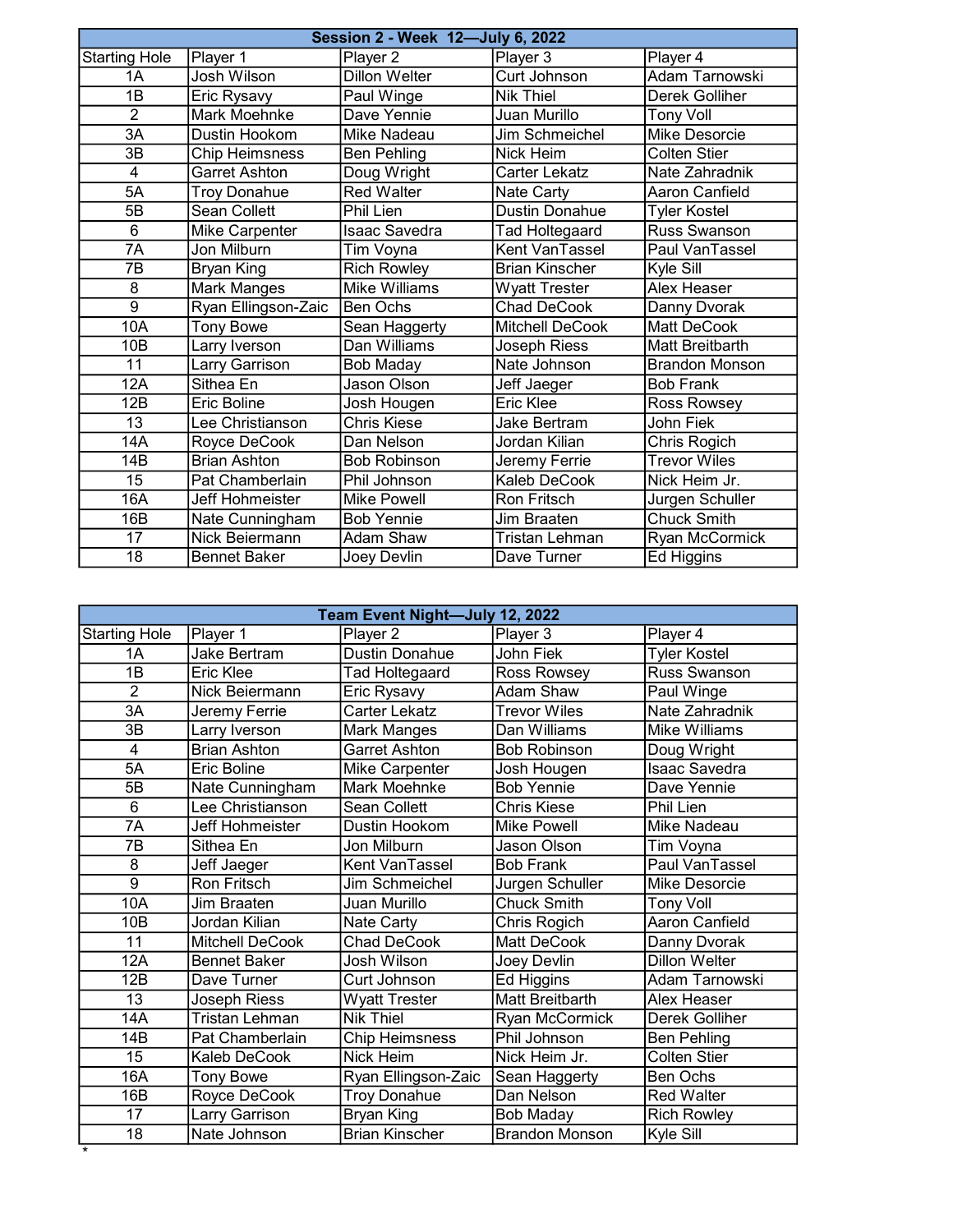|                      | Session 2 - Week 12-July 6, 2022 |                      |                       |                        |  |
|----------------------|----------------------------------|----------------------|-----------------------|------------------------|--|
| <b>Starting Hole</b> | Player 1                         | Player 2             | Player 3              | Player 4               |  |
| 1A                   | Josh Wilson                      | <b>Dillon Welter</b> | Curt Johnson          | Adam Tarnowski         |  |
| 1B                   | Eric Rysavy                      | Paul Winge           | <b>Nik Thiel</b>      | <b>Derek Golliher</b>  |  |
| $\overline{2}$       | <b>Mark Moehnke</b>              | Dave Yennie          | Juan Murillo          | <b>Tony Voll</b>       |  |
| 3A                   | Dustin Hookom                    | Mike Nadeau          | Jim Schmeichel        | <b>Mike Desorcie</b>   |  |
| 3B                   | <b>Chip Heimsness</b>            | <b>Ben Pehling</b>   | Nick Heim             | <b>Colten Stier</b>    |  |
| 4                    | <b>Garret Ashton</b>             | Doug Wright          | Carter Lekatz         | Nate Zahradnik         |  |
| 5A                   | <b>Troy Donahue</b>              | <b>Red Walter</b>    | Nate Carty            | Aaron Canfield         |  |
| 5B                   | <b>Sean Collett</b>              | Phil Lien            | <b>Dustin Donahue</b> | <b>Tyler Kostel</b>    |  |
| 6                    | Mike Carpenter                   | <b>Isaac Savedra</b> | Tad Holtegaard        | Russ Swanson           |  |
| $\overline{7A}$      | Jon Milburn                      | Tim Voyna            | Kent VanTassel        | Paul VanTassel         |  |
| 7B                   | <b>Bryan King</b>                | <b>Rich Rowley</b>   | <b>Brian Kinscher</b> | Kyle Sill              |  |
| 8                    | Mark Manges                      | Mike Williams        | <b>Wyatt Trester</b>  | Alex Heaser            |  |
| $\overline{9}$       | Ryan Ellingson-Zaic              | <b>Ben Ochs</b>      | Chad DeCook           | Danny Dvorak           |  |
| 10A                  | <b>Tony Bowe</b>                 | Sean Haggerty        | Mitchell DeCook       | Matt DeCook            |  |
| 10B                  | Larry Iverson                    | Dan Williams         | <b>Joseph Riess</b>   | <b>Matt Breitbarth</b> |  |
| $\overline{11}$      | Larry Garrison                   | <b>Bob Maday</b>     | Nate Johnson          | <b>Brandon Monson</b>  |  |
| 12A                  | Sithea En                        | Jason Olson          | Jeff Jaeger           | <b>Bob Frank</b>       |  |
| 12B                  | Eric Boline                      | Josh Hougen          | Eric Klee             | Ross Rowsey            |  |
| 13                   | Lee Christianson                 | <b>Chris Kiese</b>   | <b>Jake Bertram</b>   | John Fiek              |  |
| 14A                  | Royce DeCook                     | Dan Nelson           | Jordan Kilian         | Chris Rogich           |  |
| 14B                  | <b>Brian Ashton</b>              | <b>Bob Robinson</b>  | Jeremy Ferrie         | <b>Trevor Wiles</b>    |  |
| 15                   | Pat Chamberlain                  | Phil Johnson         | Kaleb DeCook          | Nick Heim Jr.          |  |
| 16A                  | Jeff Hohmeister                  | <b>Mike Powell</b>   | <b>Ron Fritsch</b>    | Jurgen Schuller        |  |
| 16B                  | Nate Cunningham                  | Bob Yennie           | Jim Braaten           | <b>Chuck Smith</b>     |  |
| 17                   | Nick Beiermann                   | Adam Shaw            | Tristan Lehman        | Ryan McCormick         |  |
| $\overline{18}$      | <b>Bennet Baker</b>              | Joey Devlin          | Dave Turner           | Ed Higgins             |  |

|                      | Team Event Night-July 12, 2022 |                       |                       |                      |  |
|----------------------|--------------------------------|-----------------------|-----------------------|----------------------|--|
| <b>Starting Hole</b> | Player 1                       | Player 2              | Player 3              | Player 4             |  |
| 1A                   | Jake Bertram                   | <b>Dustin Donahue</b> | <b>John Fiek</b>      | <b>Tyler Kostel</b>  |  |
| 1B                   | <b>Eric Klee</b>               | <b>Tad Holtegaard</b> | Ross Rowsey           | Russ Swanson         |  |
| $\overline{2}$       | Nick Beiermann                 | Eric Rysavy           | Adam Shaw             | Paul Winge           |  |
| $\overline{3A}$      | Jeremy Ferrie                  | Carter Lekatz         | <b>Trevor Wiles</b>   | Nate Zahradnik       |  |
| 3B                   | Larry Iverson                  | Mark Manges           | Dan Williams          | <b>Mike Williams</b> |  |
| $\overline{4}$       | <b>Brian Ashton</b>            | <b>Garret Ashton</b>  | <b>Bob Robinson</b>   | Doug Wright          |  |
| 5A                   | Eric Boline                    | <b>Mike Carpenter</b> | Josh Hougen           | <b>Isaac Savedra</b> |  |
| 5B                   | Nate Cunningham                | Mark Moehnke          | <b>Bob Yennie</b>     | Dave Yennie          |  |
| 6                    | Lee Christianson               | Sean Collett          | <b>Chris Kiese</b>    | Phil Lien            |  |
| 7A                   | Jeff Hohmeister                | Dustin Hookom         | <b>Mike Powell</b>    | Mike Nadeau          |  |
| 7B                   | Sithea En                      | Jon Milburn           | Jason Olson           | Tim Voyna            |  |
| 8                    | Jeff Jaeger                    | Kent VanTassel        | <b>Bob Frank</b>      | Paul VanTassel       |  |
| $\overline{9}$       | <b>Ron Fritsch</b>             | Jim Schmeichel        | Jurgen Schuller       | Mike Desorcie        |  |
| 10A                  | Jim Braaten                    | Juan Murillo          | <b>Chuck Smith</b>    | <b>Tony Voll</b>     |  |
| 10 <sub>B</sub>      | Jordan Kilian                  | Nate Carty            | Chris Rogich          | Aaron Canfield       |  |
| 11                   | <b>Mitchell DeCook</b>         | Chad DeCook           | Matt DeCook           | Danny Dvorak         |  |
| 12A                  | <b>Bennet Baker</b>            | Josh Wilson           | Joey Devlin           | <b>Dillon Welter</b> |  |
| 12B                  | Dave Turner                    | Curt Johnson          | Ed Higgins            | Adam Tarnowski       |  |
| 13                   | Joseph Riess                   | <b>Wyatt Trester</b>  | Matt Breitbarth       | Alex Heaser          |  |
| 14A                  | <b>Tristan Lehman</b>          | <b>Nik Thiel</b>      | <b>Ryan McCormick</b> | Derek Golliher       |  |
| 14B                  | Pat Chamberlain                | <b>Chip Heimsness</b> | Phil Johnson          | Ben Pehling          |  |
| 15                   | Kaleb DeCook                   | <b>Nick Heim</b>      | Nick Heim Jr.         | <b>Colten Stier</b>  |  |
| 16A                  | <b>Tony Bowe</b>               | Ryan Ellingson-Zaic   | Sean Haggerty         | Ben Ochs             |  |
| 16B                  | Royce DeCook                   | <b>Troy Donahue</b>   | Dan Nelson            | <b>Red Walter</b>    |  |
| 17                   | Larry Garrison                 | Bryan King            | <b>Bob Maday</b>      | <b>Rich Rowley</b>   |  |
| 18                   | Nate Johnson                   | <b>Brian Kinscher</b> | <b>Brandon Monson</b> | Kyle Sill            |  |

\*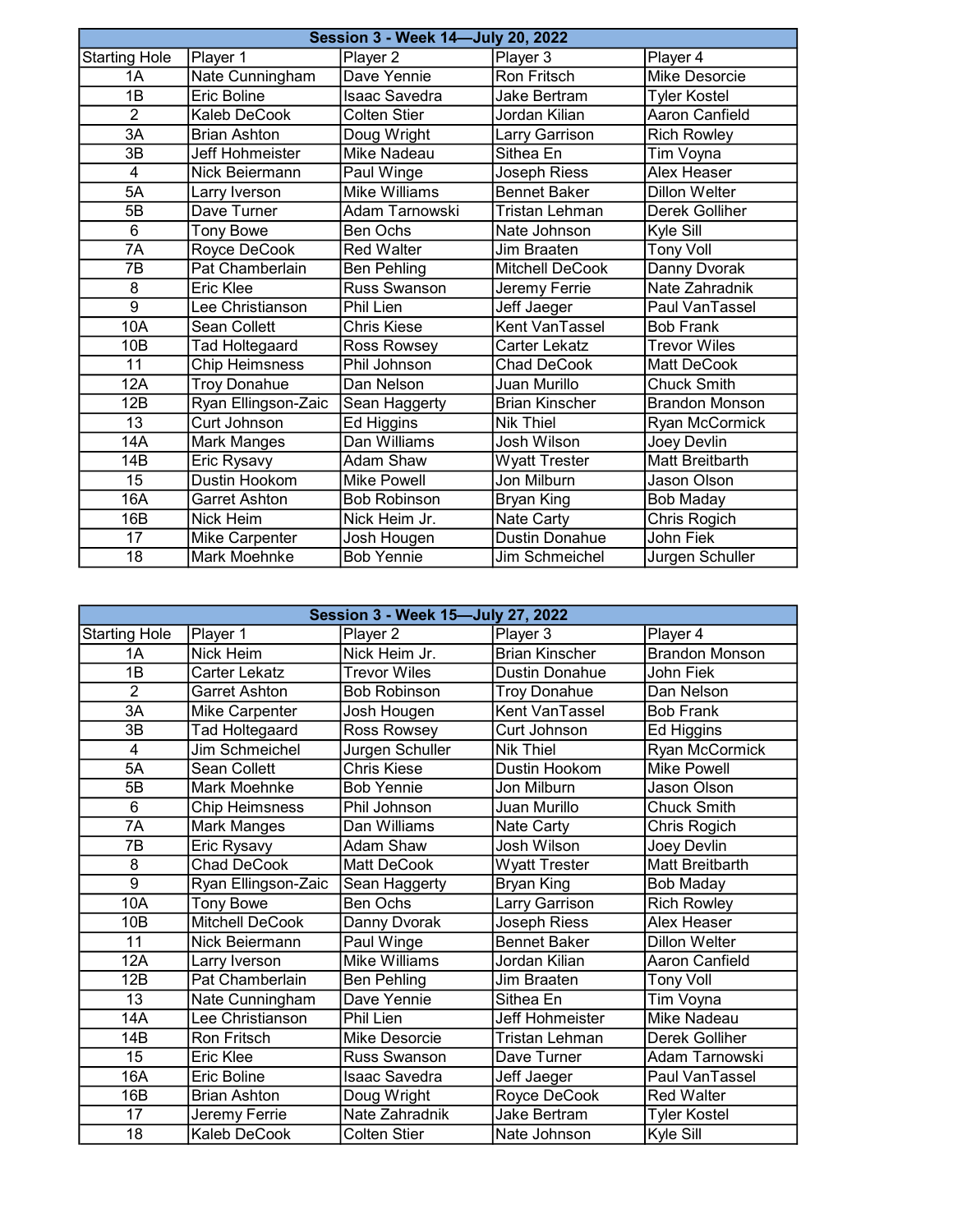|                      | Session 3 - Week 14-July 20, 2022 |                      |                       |                       |  |
|----------------------|-----------------------------------|----------------------|-----------------------|-----------------------|--|
| <b>Starting Hole</b> | Player 1                          | Player 2             | Player 3              | Player 4              |  |
| 1A                   | Nate Cunningham                   | Dave Yennie          | Ron Fritsch           | Mike Desorcie         |  |
| 1B                   | <b>Eric Boline</b>                | <b>Isaac Savedra</b> | <b>Jake Bertram</b>   | <b>Tyler Kostel</b>   |  |
| $\overline{2}$       | Kaleb DeCook                      | Colten Stier         | Jordan Kilian         | Aaron Canfield        |  |
| 3A                   | <b>Brian Ashton</b>               | Doug Wright          | Larry Garrison        | <b>Rich Rowley</b>    |  |
| 3B                   | Jeff Hohmeister                   | <b>Mike Nadeau</b>   | Sithea En             | Tim Voyna             |  |
| 4                    | Nick Beiermann                    | Paul Winge           | Joseph Riess          | <b>Alex Heaser</b>    |  |
| 5A                   | Larry Iverson                     | <b>Mike Williams</b> | <b>Bennet Baker</b>   | <b>Dillon Welter</b>  |  |
| 5B                   | Dave Turner                       | Adam Tarnowski       | <b>Tristan Lehman</b> | Derek Golliher        |  |
| 6                    | <b>Tony Bowe</b>                  | Ben Ochs             | Nate Johnson          | Kyle Sill             |  |
| $\overline{7A}$      | Royce DeCook                      | <b>Red Walter</b>    | Jim Braaten           | <b>Tony Voll</b>      |  |
| 7B                   | Pat Chamberlain                   | <b>Ben Pehling</b>   | Mitchell DeCook       | Danny Dvorak          |  |
| 8                    | Eric Klee                         | Russ Swanson         | Jeremy Ferrie         | Nate Zahradnik        |  |
| $\overline{9}$       | Lee Christianson                  | Phil Lien            | Jeff Jaeger           | Paul VanTassel        |  |
| 10A                  | <b>Sean Collett</b>               | Chris Kiese          | Kent VanTassel        | <b>Bob Frank</b>      |  |
| 10B                  | <b>Tad Holtegaard</b>             | Ross Rowsey          | Carter Lekatz         | <b>Trevor Wiles</b>   |  |
| 11                   | <b>Chip Heimsness</b>             | Phil Johnson         | Chad DeCook           | Matt DeCook           |  |
| 12A                  | <b>Troy Donahue</b>               | Dan Nelson           | Juan Murillo          | <b>Chuck Smith</b>    |  |
| 12B                  | Ryan Ellingson-Zaic               | Sean Haggerty        | <b>Brian Kinscher</b> | <b>Brandon Monson</b> |  |
| 13                   | Curt Johnson                      | Ed Higgins           | <b>Nik Thiel</b>      | Ryan McCormick        |  |
| 14A                  | Mark Manges                       | Dan Williams         | Josh Wilson           | Joey Devlin           |  |
| 14B                  | Eric Rysavy                       | Adam Shaw            | <b>Wyatt Trester</b>  | Matt Breitbarth       |  |
| 15                   | Dustin Hookom                     | <b>Mike Powell</b>   | Jon Milburn           | Jason Olson           |  |
| 16A                  | Garret Ashton                     | <b>Bob Robinson</b>  | Bryan King            | <b>Bob Maday</b>      |  |
| 16B                  | Nick Heim                         | Nick Heim Jr.        | Nate Carty            | Chris Rogich          |  |
| 17                   | Mike Carpenter                    | Josh Hougen          | <b>Dustin Donahue</b> | John Fiek             |  |
| $\overline{18}$      | Mark Moehnke                      | <b>Bob Yennie</b>    | Jim Schmeichel        | Jurgen Schuller       |  |

|                      | Session 3 - Week 15-July 27, 2022 |                      |                       |                       |
|----------------------|-----------------------------------|----------------------|-----------------------|-----------------------|
| <b>Starting Hole</b> | Player 1                          | Player 2             | Player 3              | Player 4              |
| 1A                   | <b>Nick Heim</b>                  | Nick Heim Jr.        | <b>Brian Kinscher</b> | <b>Brandon Monson</b> |
| 1B                   | Carter Lekatz                     | <b>Trevor Wiles</b>  | <b>Dustin Donahue</b> | John Fiek             |
| $\overline{2}$       | <b>Garret Ashton</b>              | <b>Bob Robinson</b>  | <b>Troy Donahue</b>   | Dan Nelson            |
| $\overline{3A}$      | <b>Mike Carpenter</b>             | Josh Hougen          | Kent VanTassel        | <b>Bob Frank</b>      |
| 3B                   | Tad Holtegaard                    | Ross Rowsey          | Curt Johnson          | Ed Higgins            |
| $\overline{4}$       | Jim Schmeichel                    | Jurgen Schuller      | <b>Nik Thiel</b>      | <b>Ryan McCormick</b> |
| 5A                   | Sean Collett                      | Chris Kiese          | Dustin Hookom         | <b>Mike Powell</b>    |
| 5B                   | Mark Moehnke                      | <b>Bob Yennie</b>    | Jon Milburn           | Jason Olson           |
| 6                    | <b>Chip Heimsness</b>             | Phil Johnson         | Juan Murillo          | <b>Chuck Smith</b>    |
| 7A                   | Mark Manges                       | Dan Williams         | Nate Carty            | Chris Rogich          |
| 7B                   | Eric Rysavy                       | Adam Shaw            | Josh Wilson           | Joey Devlin           |
| 8                    | <b>Chad DeCook</b>                | Matt DeCook          | <b>Wyatt Trester</b>  | Matt Breitbarth       |
| $\overline{9}$       | Ryan Ellingson-Zaic               | Sean Haggerty        | Bryan King            | <b>Bob Maday</b>      |
| 10A                  | <b>Tony Bowe</b>                  | <b>Ben Ochs</b>      | Larry Garrison        | <b>Rich Rowley</b>    |
| 10 <sub>B</sub>      | Mitchell DeCook                   | Danny Dvorak         | Joseph Riess          | Alex Heaser           |
| 11                   | Nick Beiermann                    | Paul Winge           | <b>Bennet Baker</b>   | <b>Dillon Welter</b>  |
| 12A                  | Larry Iverson                     | <b>Mike Williams</b> | Jordan Kilian         | <b>Aaron Canfield</b> |
| 12B                  | Pat Chamberlain                   | Ben Pehling          | Jim Braaten           | Tony Voll             |
| 13                   | Nate Cunningham                   | Dave Yennie          | Sithea En             | Tim Voyna             |
| 14A                  | Lee Christianson                  | Phil Lien            | Jeff Hohmeister       | Mike Nadeau           |
| 14B                  | Ron Fritsch                       | Mike Desorcie        | Tristan Lehman        | Derek Golliher        |
| $\overline{15}$      | Eric Klee                         | Russ Swanson         | Dave Turner           | Adam Tarnowski        |
| 16A                  | Eric Boline                       | Isaac Savedra        | Jeff Jaeger           | Paul VanTassel        |
| 16B                  | <b>Brian Ashton</b>               | Doug Wright          | Royce DeCook          | <b>Red Walter</b>     |
| 17                   | Jeremy Ferrie                     | Nate Zahradnik       | <b>Jake Bertram</b>   | <b>Tyler Kostel</b>   |
| 18                   | Kaleb DeCook                      | <b>Colten Stier</b>  | Nate Johnson          | Kyle Sill             |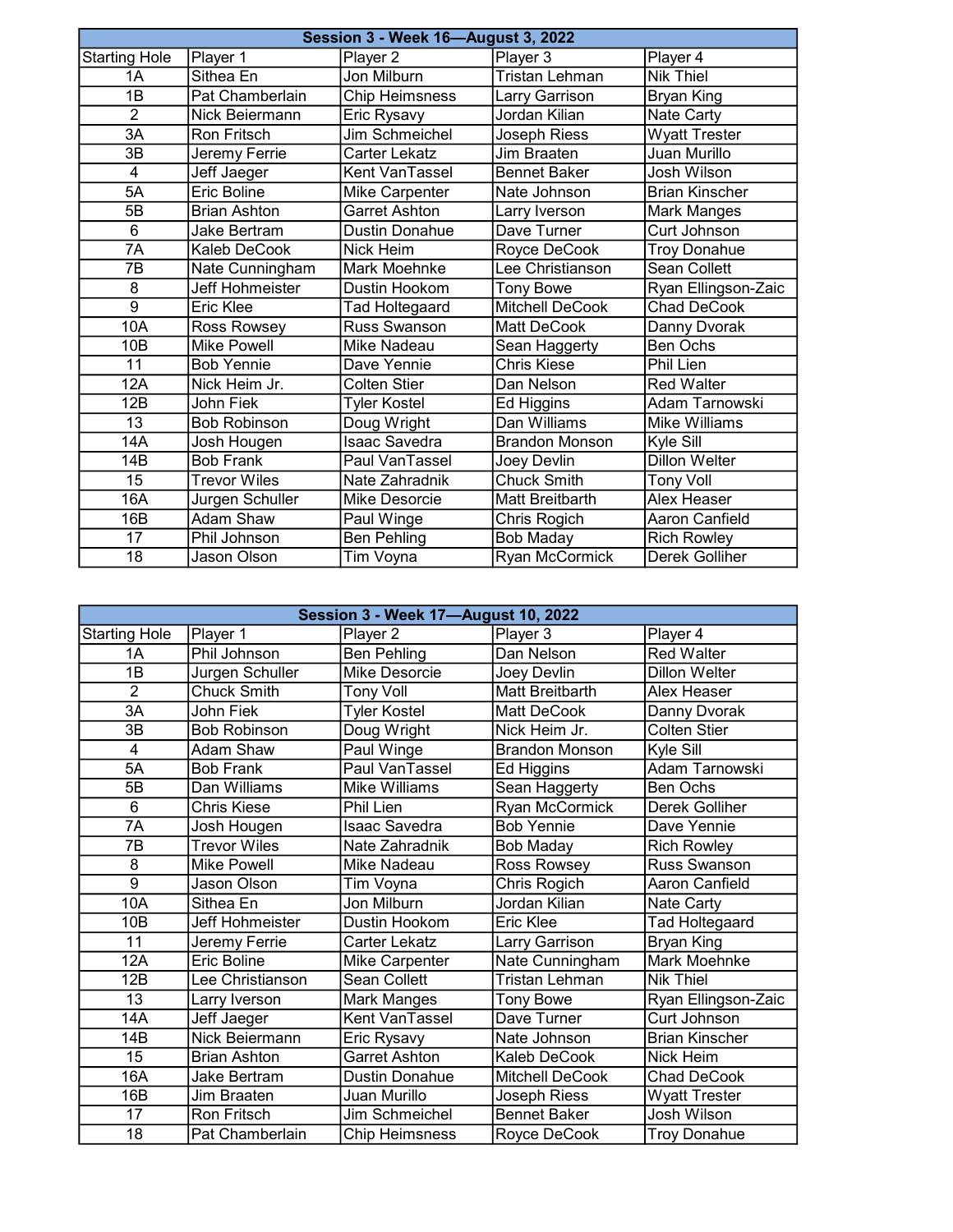| <b>Session 3 - Week 16-August 3, 2022</b> |                        |                       |                       |                       |
|-------------------------------------------|------------------------|-----------------------|-----------------------|-----------------------|
| <b>Starting Hole</b>                      | Player 1               | Player 2              | Player 3              | Player 4              |
| 1A                                        | Sithea En              | Jon Milburn           | <b>Tristan Lehman</b> | <b>Nik Thiel</b>      |
| 1B                                        | Pat Chamberlain        | <b>Chip Heimsness</b> | Larry Garrison        | <b>Bryan King</b>     |
| $\overline{2}$                            | Nick Beiermann         | Eric Rysavy           | Jordan Kilian         | Nate Carty            |
| 3A                                        | <b>Ron Fritsch</b>     | Jim Schmeichel        | Joseph Riess          | <b>Wyatt Trester</b>  |
| 3B                                        | Jeremy Ferrie          | Carter Lekatz         | <b>Jim Braaten</b>    | Juan Murillo          |
| 4                                         | Jeff Jaeger            | Kent VanTassel        | <b>Bennet Baker</b>   | Josh Wilson           |
| 5A                                        | <b>Eric Boline</b>     | Mike Carpenter        | Nate Johnson          | <b>Brian Kinscher</b> |
| 5B                                        | <b>Brian Ashton</b>    | <b>Garret Ashton</b>  | Larry Iverson         | Mark Manges           |
| 6                                         | Jake Bertram           | <b>Dustin Donahue</b> | Dave Turner           | Curt Johnson          |
| 7A                                        | Kaleb DeCook           | Nick Heim             | Royce DeCook          | <b>Troy Donahue</b>   |
| 7B                                        | Nate Cunningham        | Mark Moehnke          | Lee Christianson      | Sean Collett          |
| 8                                         | <b>Jeff Hohmeister</b> | Dustin Hookom         | <b>Tony Bowe</b>      | Ryan Ellingson-Zaic   |
| $\overline{9}$                            | <b>Eric Klee</b>       | Tad Holtegaard        | Mitchell DeCook       | Chad DeCook           |
| 10A                                       | Ross Rowsey            | Russ Swanson          | Matt DeCook           | Danny Dvorak          |
| 10B                                       | <b>Mike Powell</b>     | Mike Nadeau           | Sean Haggerty         | <b>Ben Ochs</b>       |
| 11                                        | <b>Bob Yennie</b>      | Dave Yennie           | Chris Kiese           | Phil Lien             |
| 12A                                       | Nick Heim Jr.          | Colten Stier          | Dan Nelson            | <b>Red Walter</b>     |
| 12B                                       | John Fiek              | <b>Tyler Kostel</b>   | Ed Higgins            | Adam Tarnowski        |
| 13                                        | <b>Bob Robinson</b>    | Doug Wright           | Dan Williams          | Mike Williams         |
| 14A                                       | Josh Hougen            | Isaac Savedra         | <b>Brandon Monson</b> | Kyle Sill             |
| 14B                                       | <b>Bob Frank</b>       | Paul VanTassel        | Joey Devlin           | <b>Dillon Welter</b>  |
| 15                                        | <b>Trevor Wiles</b>    | Nate Zahradnik        | <b>Chuck Smith</b>    | <b>Tony Voll</b>      |
| 16A                                       | Jurgen Schuller        | Mike Desorcie         | Matt Breitbarth       | Alex Heaser           |
| 16B                                       | <b>Adam Shaw</b>       | Paul Winge            | Chris Rogich          | Aaron Canfield        |
| 17                                        | Phil Johnson           | <b>Ben Pehling</b>    | <b>Bob Maday</b>      | <b>Rich Rowley</b>    |
| $\overline{18}$                           | Jason Olson            | Tim Voyna             | <b>Ryan McCormick</b> | Derek Golliher        |

| <b>Session 3 - Week 17-August 10, 2022</b> |                     |                       |                        |                       |
|--------------------------------------------|---------------------|-----------------------|------------------------|-----------------------|
| <b>Starting Hole</b>                       | Player 1            | Player 2              | Player 3               | Player 4              |
| 1A                                         | Phil Johnson        | <b>Ben Pehling</b>    | Dan Nelson             | <b>Red Walter</b>     |
| $\overline{1B}$                            | Jurgen Schuller     | <b>Mike Desorcie</b>  | Joey Devlin            | <b>Dillon Welter</b>  |
| $\overline{2}$                             | <b>Chuck Smith</b>  | <b>Tony Voll</b>      | <b>Matt Breitbarth</b> | Alex Heaser           |
| 3A                                         | John Fiek           | <b>Tyler Kostel</b>   | <b>Matt DeCook</b>     | Danny Dvorak          |
| 3B                                         | <b>Bob Robinson</b> | Doug Wright           | Nick Heim Jr.          | <b>Colten Stier</b>   |
| $\overline{4}$                             | Adam Shaw           | Paul Winge            | <b>Brandon Monson</b>  | Kyle Sill             |
| 5A                                         | <b>Bob Frank</b>    | Paul VanTassel        | Ed Higgins             | Adam Tarnowski        |
| 5B                                         | Dan Williams        | Mike Williams         | Sean Haggerty          | Ben Ochs              |
| 6                                          | Chris Kiese         | Phil Lien             | <b>Ryan McCormick</b>  | Derek Golliher        |
| 7A                                         | Josh Hougen         | <b>Isaac Savedra</b>  | <b>Bob Yennie</b>      | Dave Yennie           |
| 7B                                         | <b>Trevor Wiles</b> | Nate Zahradnik        | Bob Maday              | <b>Rich Rowley</b>    |
| 8                                          | Mike Powell         | Mike Nadeau           | Ross Rowsey            | <b>Russ Swanson</b>   |
| $\overline{9}$                             | Jason Olson         | Tim Voyna             | Chris Rogich           | Aaron Canfield        |
| 10A                                        | Sithea En           | Jon Milburn           | Jordan Kilian          | Nate Carty            |
| 10 <sub>B</sub>                            | Jeff Hohmeister     | Dustin Hookom         | Eric Klee              | Tad Holtegaard        |
| $\overline{11}$                            | Jeremy Ferrie       | Carter Lekatz         | Larry Garrison         | Bryan King            |
| 12A                                        | Eric Boline         | Mike Carpenter        | Nate Cunningham        | Mark Moehnke          |
| 12B                                        | Lee Christianson    | Sean Collett          | Tristan Lehman         | <b>Nik Thiel</b>      |
| $\overline{13}$                            | Larry Iverson       | Mark Manges           | <b>Tony Bowe</b>       | Ryan Ellingson-Zaic   |
| 14A                                        | Jeff Jaeger         | Kent VanTassel        | Dave Turner            | Curt Johnson          |
| 14B                                        | Nick Beiermann      | Eric Rysavy           | Nate Johnson           | <b>Brian Kinscher</b> |
| $\overline{15}$                            | <b>Brian Ashton</b> | <b>Garret Ashton</b>  | Kaleb DeCook           | Nick Heim             |
| 16A                                        | Jake Bertram        | <b>Dustin Donahue</b> | Mitchell DeCook        | <b>Chad DeCook</b>    |
| 16B                                        | Jim Braaten         | Juan Murillo          | Joseph Riess           | <b>Wyatt Trester</b>  |
| 17                                         | Ron Fritsch         | Jim Schmeichel        | <b>Bennet Baker</b>    | <b>Josh Wilson</b>    |
| 18                                         | Pat Chamberlain     | <b>Chip Heimsness</b> | Royce DeCook           | <b>Troy Donahue</b>   |